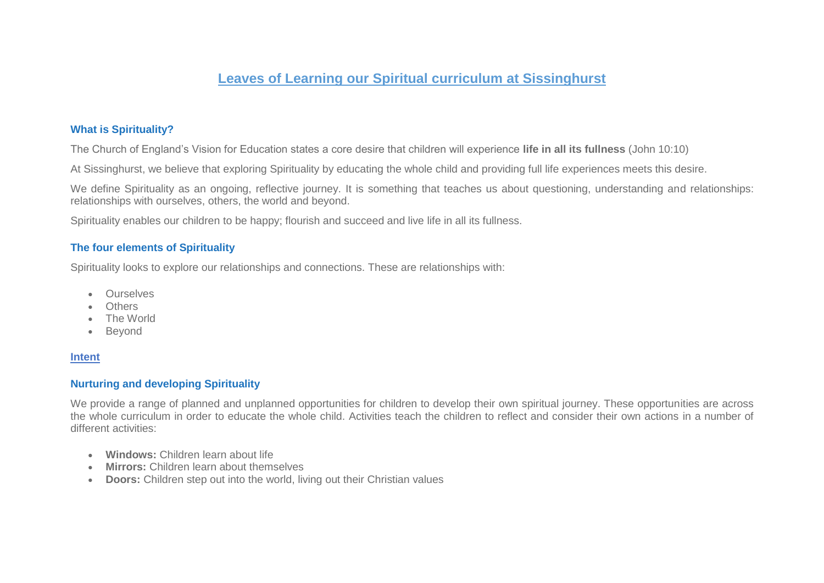# **Leaves of Learning our Spiritual curriculum at Sissinghurst**

### **What is Spirituality?**

The Church of England's Vision for Education states a core desire that children will experience **life in all its fullness** (John 10:10)

At Sissinghurst, we believe that exploring Spirituality by educating the whole child and providing full life experiences meets this desire.

We define Spirituality as an ongoing, reflective journey. It is something that teaches us about questioning, understanding and relationships: relationships with ourselves, others, the world and beyond.

Spirituality enables our children to be happy; flourish and succeed and live life in all its fullness.

### **The four elements of Spirituality**

Spirituality looks to explore our relationships and connections. These are relationships with:

- **•** Ourselves
- **Others**
- The World
- Beyond

### **Intent**

### **Nurturing and developing Spirituality**

We provide a range of planned and unplanned opportunities for children to develop their own spiritual journey. These opportunities are across the whole curriculum in order to educate the whole child. Activities teach the children to reflect and consider their own actions in a number of different activities:

- **Windows:** Children learn about life
- **Mirrors:** Children learn about themselves
- **Doors:** Children step out into the world, living out their Christian values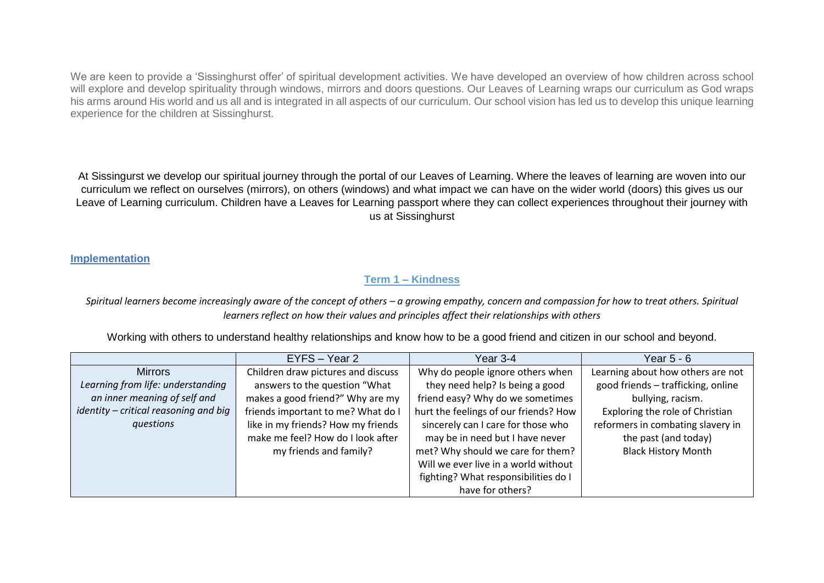We are keen to provide a 'Sissinghurst offer' of spiritual development activities. We have developed an overview of how children across school will explore and develop spirituality through windows, mirrors and doors questions. Our Leaves of Learning wraps our curriculum as God wraps his arms around His world and us all and is integrated in all aspects of our curriculum. Our school vision has led us to develop this unique learning experience for the children at Sissinghurst.

At Sissingurst we develop our spiritual journey through the portal of our Leaves of Learning. Where the leaves of learning are woven into our curriculum we reflect on ourselves (mirrors), on others (windows) and what impact we can have on the wider world (doors) this gives us our Leave of Learning curriculum. Children have a Leaves for Learning passport where they can collect experiences throughout their journey with us at Sissinghurst

### **Implementation**

### **Term 1 – Kindness**

*Spiritual learners become increasingly aware of the concept of others – a growing empathy, concern and compassion for how to treat others. Spiritual learners reflect on how their values and principles affect their relationships with others*

Working with others to understand healthy relationships and know how to be a good friend and citizen in our school and beyond.

|                                       | EYFS - Year 2                      | Year 3-4                              | Year 5 - 6                         |
|---------------------------------------|------------------------------------|---------------------------------------|------------------------------------|
| <b>Mirrors</b>                        | Children draw pictures and discuss | Why do people ignore others when      | Learning about how others are not  |
| Learning from life: understanding     | answers to the question "What      | they need help? Is being a good       | good friends - trafficking, online |
| an inner meaning of self and          | makes a good friend?" Why are my   | friend easy? Why do we sometimes      | bullying, racism.                  |
| identity - critical reasoning and big | friends important to me? What do I | hurt the feelings of our friends? How | Exploring the role of Christian    |
| questions                             | like in my friends? How my friends | sincerely can I care for those who    | reformers in combating slavery in  |
|                                       | make me feel? How do I look after  | may be in need but I have never       | the past (and today)               |
|                                       | my friends and family?             | met? Why should we care for them?     | <b>Black History Month</b>         |
|                                       |                                    | Will we ever live in a world without  |                                    |
|                                       |                                    | fighting? What responsibilities do I  |                                    |
|                                       |                                    | have for others?                      |                                    |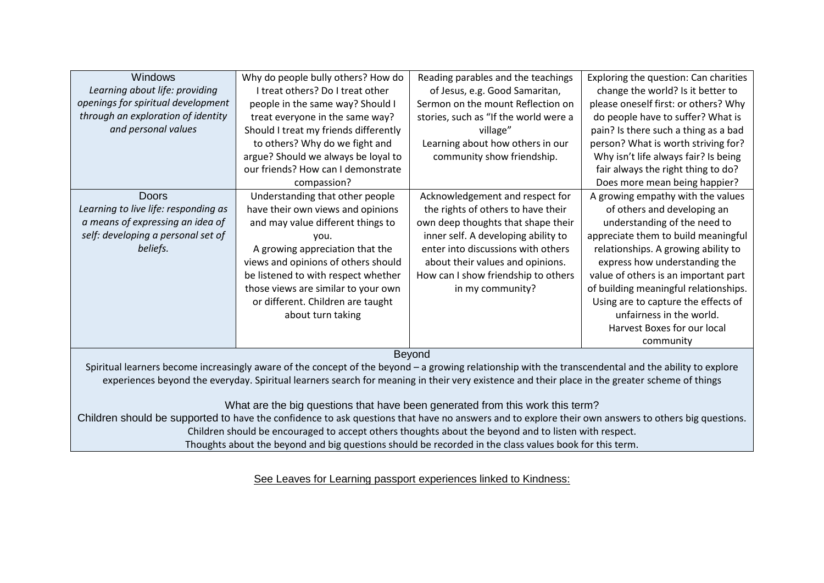| Windows                                                                                                                                               | Why do people bully others? How do    | Reading parables and the teachings    | Exploring the question: Can charities |
|-------------------------------------------------------------------------------------------------------------------------------------------------------|---------------------------------------|---------------------------------------|---------------------------------------|
| Learning about life: providing                                                                                                                        | I treat others? Do I treat other      | of Jesus, e.g. Good Samaritan,        | change the world? Is it better to     |
| openings for spiritual development                                                                                                                    | people in the same way? Should I      | Sermon on the mount Reflection on     | please oneself first: or others? Why  |
| through an exploration of identity                                                                                                                    | treat everyone in the same way?       | stories, such as "If the world were a | do people have to suffer? What is     |
| and personal values                                                                                                                                   | Should I treat my friends differently | village"                              | pain? Is there such a thing as a bad  |
|                                                                                                                                                       | to others? Why do we fight and        | Learning about how others in our      | person? What is worth striving for?   |
|                                                                                                                                                       | argue? Should we always be loyal to   | community show friendship.            | Why isn't life always fair? Is being  |
|                                                                                                                                                       | our friends? How can I demonstrate    |                                       | fair always the right thing to do?    |
|                                                                                                                                                       | compassion?                           |                                       | Does more mean being happier?         |
| <b>Doors</b>                                                                                                                                          | Understanding that other people       | Acknowledgement and respect for       | A growing empathy with the values     |
| Learning to live life: responding as                                                                                                                  | have their own views and opinions     | the rights of others to have their    | of others and developing an           |
| a means of expressing an idea of                                                                                                                      | and may value different things to     | own deep thoughts that shape their    | understanding of the need to          |
| self: developing a personal set of                                                                                                                    | vou.                                  | inner self. A developing ability to   | appreciate them to build meaningful   |
| beliefs.                                                                                                                                              | A growing appreciation that the       | enter into discussions with others    | relationships. A growing ability to   |
|                                                                                                                                                       | views and opinions of others should   | about their values and opinions.      | express how understanding the         |
|                                                                                                                                                       | be listened to with respect whether   | How can I show friendship to others   | value of others is an important part  |
|                                                                                                                                                       | those views are similar to your own   | in my community?                      | of building meaningful relationships. |
|                                                                                                                                                       | or different. Children are taught     |                                       | Using are to capture the effects of   |
|                                                                                                                                                       | about turn taking                     |                                       | unfairness in the world.              |
|                                                                                                                                                       |                                       |                                       | Harvest Boxes for our local           |
|                                                                                                                                                       |                                       |                                       | community                             |
| <b>Beyond</b>                                                                                                                                         |                                       |                                       |                                       |
| Spiritual learners become increasingly aware of the concept of the beyond - a growing relationship with the transcendental and the ability to explore |                                       |                                       |                                       |
| experiences beyond the everyday. Spiritual learners search for meaning in their very existence and their place in the greater scheme of things        |                                       |                                       |                                       |
|                                                                                                                                                       |                                       |                                       |                                       |
| What are the big questions that have been generated from this work this term?                                                                         |                                       |                                       |                                       |
| Children should be supported to have the confidence to ask questions that have no answers and to explore their own answers to others big questions.   |                                       |                                       |                                       |

Children should be encouraged to accept others thoughts about the beyond and to listen with respect.

Thoughts about the beyond and big questions should be recorded in the class values book for this term.

See Leaves for Learning passport experiences linked to Kindness: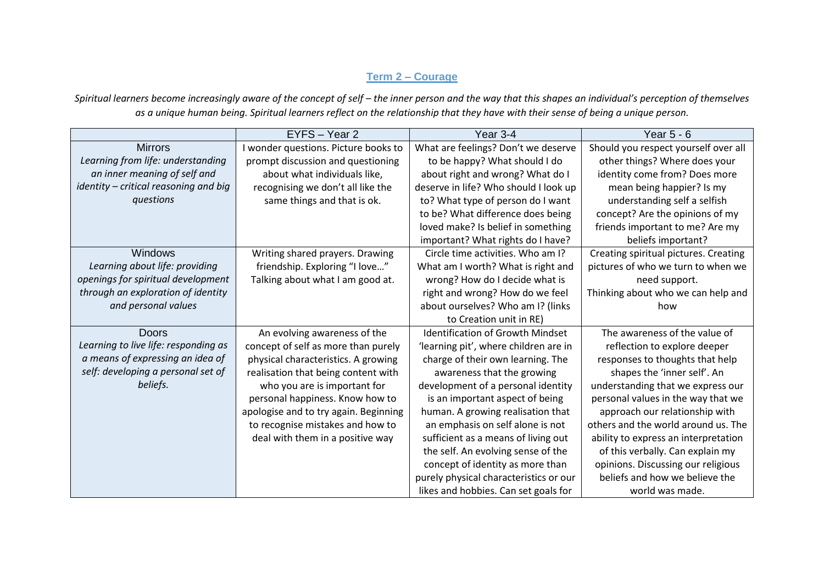# **Term 2 – Courage**

Spiritual learners become increasingly aware of the concept of self – the inner person and the way that this shapes an individual's perception of themselves *as a unique human being. Spiritual learners reflect on the relationship that they have with their sense of being a unique person.*

|                                       | EYFS - Year 2                         | Year 3-4                                | Year $5 - 6$                          |
|---------------------------------------|---------------------------------------|-----------------------------------------|---------------------------------------|
| <b>Mirrors</b>                        | I wonder questions. Picture books to  | What are feelings? Don't we deserve     | Should you respect yourself over all  |
| Learning from life: understanding     | prompt discussion and questioning     | to be happy? What should I do           | other things? Where does your         |
| an inner meaning of self and          | about what individuals like,          | about right and wrong? What do I        | identity come from? Does more         |
| identity - critical reasoning and big | recognising we don't all like the     | deserve in life? Who should I look up   | mean being happier? Is my             |
| questions                             | same things and that is ok.           | to? What type of person do I want       | understanding self a selfish          |
|                                       |                                       | to be? What difference does being       | concept? Are the opinions of my       |
|                                       |                                       | loved make? Is belief in something      | friends important to me? Are my       |
|                                       |                                       | important? What rights do I have?       | beliefs important?                    |
| Windows                               | Writing shared prayers. Drawing       | Circle time activities. Who am I?       | Creating spiritual pictures. Creating |
| Learning about life: providing        | friendship. Exploring "I love"        | What am I worth? What is right and      | pictures of who we turn to when we    |
| openings for spiritual development    | Talking about what I am good at.      | wrong? How do I decide what is          | need support.                         |
| through an exploration of identity    |                                       | right and wrong? How do we feel         | Thinking about who we can help and    |
| and personal values                   |                                       | about ourselves? Who am I? (links       | how                                   |
|                                       |                                       | to Creation unit in RE)                 |                                       |
| <b>Doors</b>                          | An evolving awareness of the          | <b>Identification of Growth Mindset</b> | The awareness of the value of         |
| Learning to live life: responding as  | concept of self as more than purely   | 'learning pit', where children are in   | reflection to explore deeper          |
| a means of expressing an idea of      | physical characteristics. A growing   | charge of their own learning. The       | responses to thoughts that help       |
| self: developing a personal set of    | realisation that being content with   | awareness that the growing              | shapes the 'inner self'. An           |
| beliefs.                              | who you are is important for          | development of a personal identity      | understanding that we express our     |
|                                       | personal happiness. Know how to       | is an important aspect of being         | personal values in the way that we    |
|                                       | apologise and to try again. Beginning | human. A growing realisation that       | approach our relationship with        |
|                                       | to recognise mistakes and how to      | an emphasis on self alone is not        | others and the world around us. The   |
|                                       | deal with them in a positive way      | sufficient as a means of living out     | ability to express an interpretation  |
|                                       |                                       | the self. An evolving sense of the      | of this verbally. Can explain my      |
|                                       |                                       | concept of identity as more than        | opinions. Discussing our religious    |
|                                       |                                       | purely physical characteristics or our  | beliefs and how we believe the        |
|                                       |                                       | likes and hobbies. Can set goals for    | world was made.                       |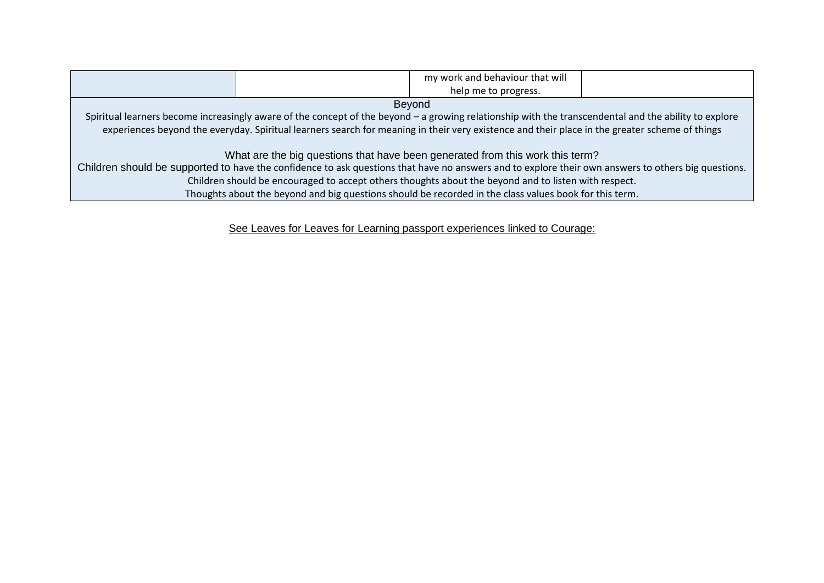|                                                                                                                                                       |  | my work and behaviour that will |  |
|-------------------------------------------------------------------------------------------------------------------------------------------------------|--|---------------------------------|--|
|                                                                                                                                                       |  | help me to progress.            |  |
| Beyond                                                                                                                                                |  |                                 |  |
| Spiritual learners become increasingly aware of the concept of the beyond – a growing relationship with the transcendental and the ability to explore |  |                                 |  |
| experiences beyond the everyday. Spiritual learners search for meaning in their very existence and their place in the greater scheme of things        |  |                                 |  |
|                                                                                                                                                       |  |                                 |  |
| What are the big questions that have been generated from this work this term?                                                                         |  |                                 |  |
| Children should be supported to have the confidence to ask questions that have no answers and to explore their own answers to others big questions.   |  |                                 |  |
| Children should be encouraged to accept others thoughts about the beyond and to listen with respect.                                                  |  |                                 |  |
| Thoughts about the beyond and big questions should be recorded in the class values book for this term.                                                |  |                                 |  |

See Leaves for Leaves for Learning passport experiences linked to Courage: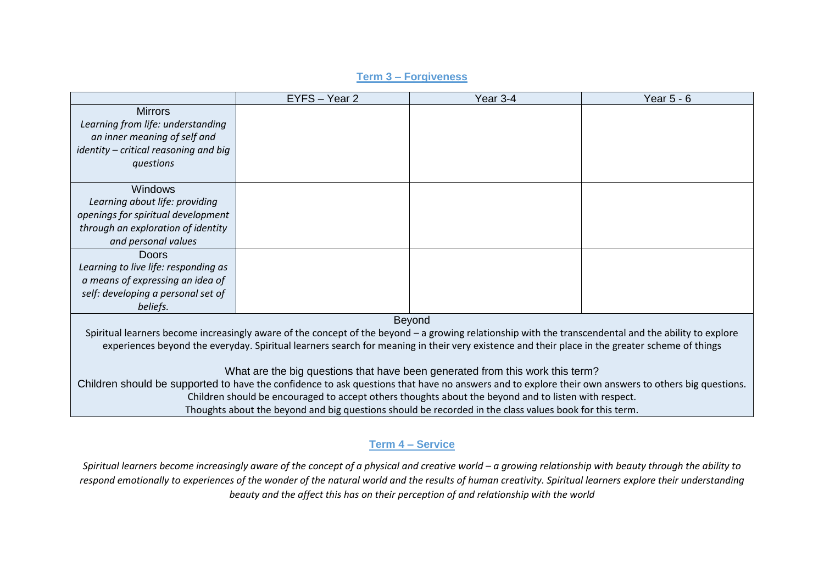# EYFS – Year 2 Year 3-4 Year 5 - 6 **Mirrors** *Learning from life: understanding an inner meaning of self and identity – critical reasoning and big questions* Windows *Learning about life: providing openings for spiritual development through an exploration of identity and personal values* Doors *Learning to live life: responding as a means of expressing an idea of self: developing a personal set of beliefs.* Beyond Spiritual learners become increasingly aware of the concept of the beyond – a growing relationship with the transcendental and the ability to explore experiences beyond the everyday. Spiritual learners search for meaning in their very existence and their place in the greater scheme of things What are the big questions that have been generated from this work this term? Children should be supported to have the confidence to ask questions that have no answers and to explore their own answers to others big questions. Children should be encouraged to accept others thoughts about the beyond and to listen with respect. Thoughts about the beyond and big questions should be recorded in the class values book for this term.

### **Term 3 – Forgiveness**

### **Term 4 – Service**

*Spiritual learners become increasingly aware of the concept of a physical and creative world – a growing relationship with beauty through the ability to respond emotionally to experiences of the wonder of the natural world and the results of human creativity. Spiritual learners explore their understanding beauty and the affect this has on their perception of and relationship with the world*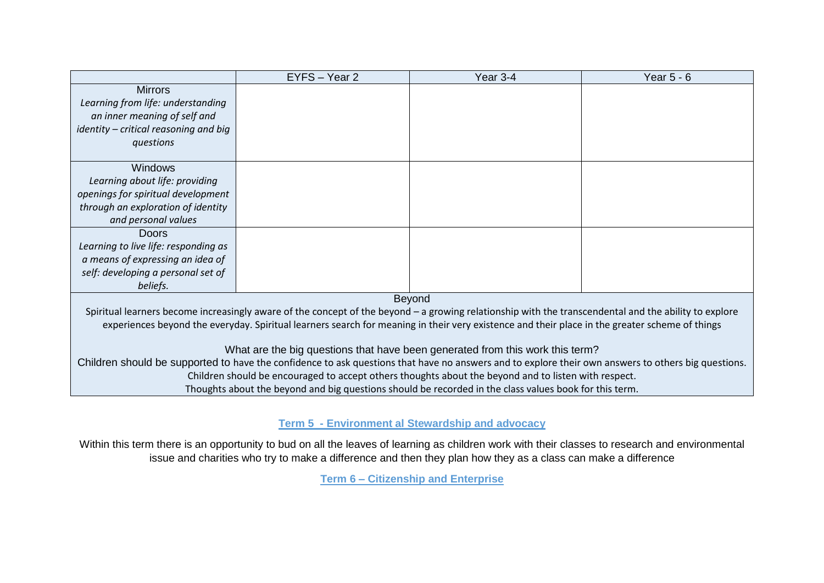|                                                                                                                                                       | EYFS - Year 2 | Year 3-4 | Year $5 - 6$ |
|-------------------------------------------------------------------------------------------------------------------------------------------------------|---------------|----------|--------------|
| <b>Mirrors</b>                                                                                                                                        |               |          |              |
| Learning from life: understanding                                                                                                                     |               |          |              |
| an inner meaning of self and                                                                                                                          |               |          |              |
| identity - critical reasoning and big                                                                                                                 |               |          |              |
| questions                                                                                                                                             |               |          |              |
|                                                                                                                                                       |               |          |              |
| <b>Windows</b>                                                                                                                                        |               |          |              |
| Learning about life: providing                                                                                                                        |               |          |              |
| openings for spiritual development                                                                                                                    |               |          |              |
| through an exploration of identity                                                                                                                    |               |          |              |
| and personal values                                                                                                                                   |               |          |              |
| Doors                                                                                                                                                 |               |          |              |
| Learning to live life: responding as                                                                                                                  |               |          |              |
| a means of expressing an idea of                                                                                                                      |               |          |              |
| self: developing a personal set of                                                                                                                    |               |          |              |
| beliefs.                                                                                                                                              |               |          |              |
| <b>Beyond</b>                                                                                                                                         |               |          |              |
| Spiritual learners become increasingly aware of the concept of the beyond – a growing relationship with the transcendental and the ability to explore |               |          |              |
| experiences beyond the everyday. Spiritual learners search for meaning in their very existence and their place in the greater scheme of things        |               |          |              |
|                                                                                                                                                       |               |          |              |
| What are the big questions that have been generated from this work this term?                                                                         |               |          |              |
| Children should be supported to have the confidence to ask questions that have no answers and to explore their own answers to others big questions.   |               |          |              |
| Children should be encouraged to accept others thoughts about the beyond and to listen with respect.                                                  |               |          |              |
| Thoughts about the beyond and big questions should be recorded in the class values book for this term.                                                |               |          |              |

**Term 5 - Environment al Stewardship and advocacy**

Within this term there is an opportunity to bud on all the leaves of learning as children work with their classes to research and environmental issue and charities who try to make a difference and then they plan how they as a class can make a difference

**Term 6 – Citizenship and Enterprise**